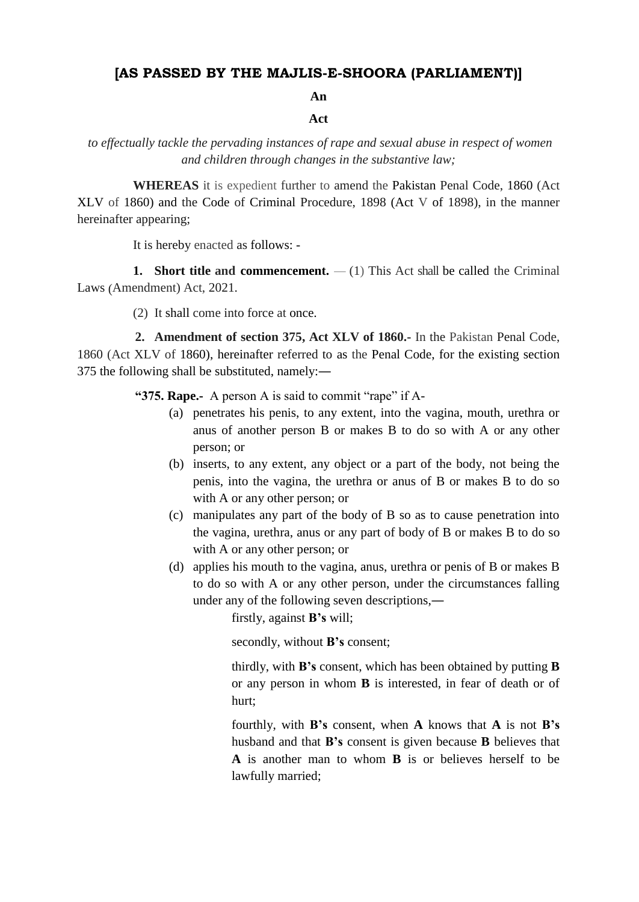## **[AS PASSED BY THE MAJLIS-E-SHOORA (PARLIAMENT)]**

**An**

## **Act**

*to effectually tackle the pervading instances of rape and sexual abuse in respect of women and children through changes in the substantive law;*

**WHEREAS** it is expedient further to amend the Pakistan Penal Code, 1860 (Act XLV of 1860) and the Code of Criminal Procedure, 1898 (Act V of 1898), in the manner hereinafter appearing;

It is hereby enacted as follows: -

**1. Short title and commencement.**  $- (1)$  This Act shall be called the Criminal Laws (Amendment) Act, 2021.

(2) It shall come into force at once.

**2. Amendment of section 375, Act XLV of 1860.-** In the Pakistan Penal Code, 1860 (Act XLV of 1860), hereinafter referred to as the Penal Code, for the existing section 375 the following shall be substituted, namely:―

**"375. Rape.-** A person A is said to commit "rape" if A-

- (a) penetrates his penis, to any extent, into the vagina, mouth, urethra or anus of another person B or makes B to do so with A or any other person; or
- (b) inserts, to any extent, any object or a part of the body, not being the penis, into the vagina, the urethra or anus of B or makes B to do so with A or any other person; or
- (c) manipulates any part of the body of B so as to cause penetration into the vagina, urethra, anus or any part of body of B or makes B to do so with A or any other person; or
- (d) applies his mouth to the vagina, anus, urethra or penis of B or makes B to do so with A or any other person, under the circumstances falling under any of the following seven descriptions,―

firstly, against **B's** will;

secondly, without **B's** consent;

thirdly, with **B's** consent, which has been obtained by putting **B** or any person in whom **B** is interested, in fear of death or of hurt;

fourthly, with **B's** consent, when **A** knows that **A** is not **B's** husband and that **B's** consent is given because **B** believes that **A** is another man to whom **B** is or believes herself to be lawfully married;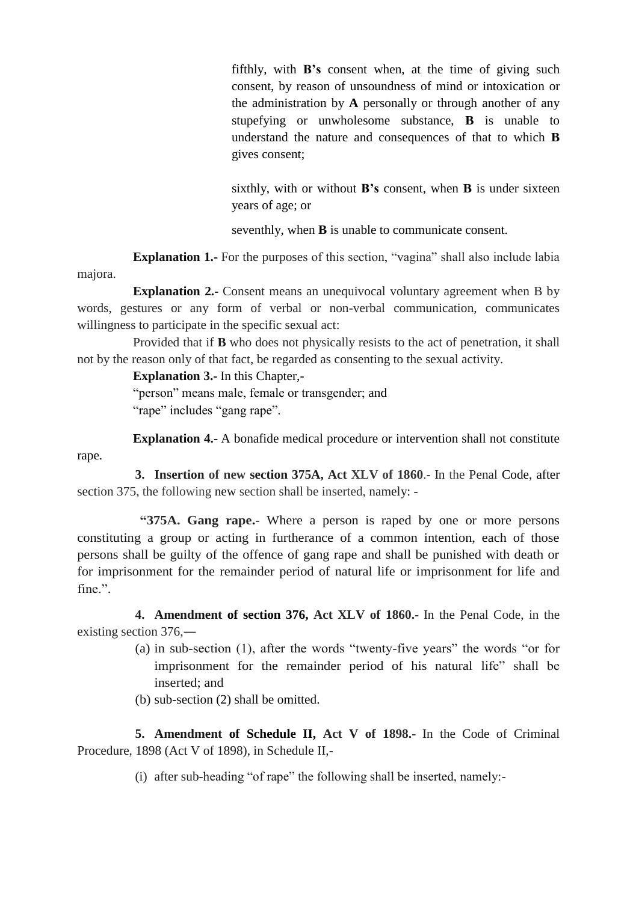fifthly, with **B's** consent when, at the time of giving such consent, by reason of unsoundness of mind or intoxication or the administration by **A** personally or through another of any stupefying or unwholesome substance, **B** is unable to understand the nature and consequences of that to which **B** gives consent;

sixthly, with or without **B's** consent, when **B** is under sixteen years of age; or

seventhly, when **B** is unable to communicate consent.

**Explanation 1.-** For the purposes of this section, "vagina" shall also include labia majora.

**Explanation 2.-** Consent means an unequivocal voluntary agreement when B by words, gestures or any form of verbal or non-verbal communication, communicates willingness to participate in the specific sexual act:

Provided that if **B** who does not physically resists to the act of penetration, it shall not by the reason only of that fact, be regarded as consenting to the sexual activity.

**Explanation 3.-** In this Chapter,-

"person" means male, female or transgender; and "rape" includes "gang rape".

**Explanation 4.-** A bonafide medical procedure or intervention shall not constitute rape.

**3. Insertion of new section 375A, Act XLV of 1860**.- In the Penal Code, after section 375, the following new section shall be inserted, namely: -

**"375A. Gang rape.**- Where a person is raped by one or more persons constituting a group or acting in furtherance of a common intention, each of those persons shall be guilty of the offence of gang rape and shall be punished with death or for imprisonment for the remainder period of natural life or imprisonment for life and fine.".

**4. Amendment of section 376, Act XLV of 1860.-** In the Penal Code, in the existing section 376,―

- (a) in sub-section (1), after the words "twenty-five years" the words "or for imprisonment for the remainder period of his natural life" shall be inserted; and
- (b) sub-section (2) shall be omitted.

**5. Amendment of Schedule II, Act V of 1898.-** In the Code of Criminal Procedure, 1898 (Act V of 1898), in Schedule II,-

(i) after sub-heading "of rape" the following shall be inserted, namely:-